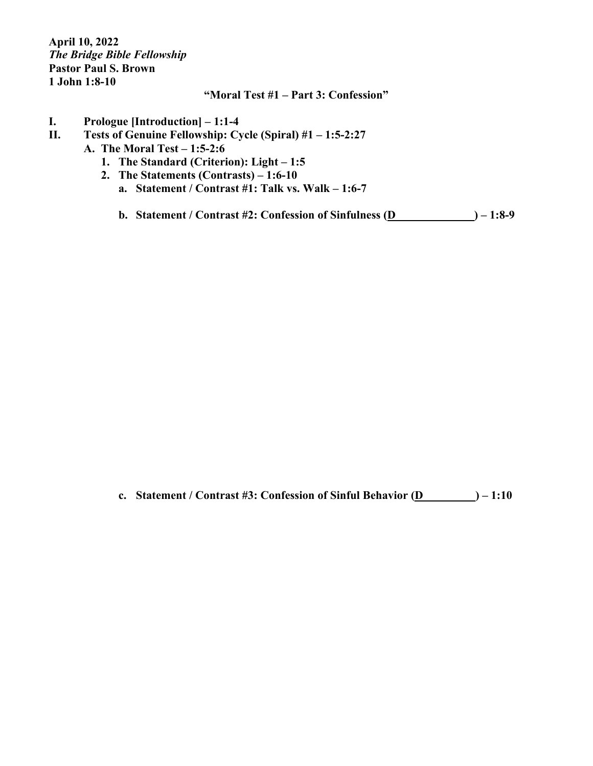**April 10, 2022** *The Bridge Bible Fellowship* **Pastor Paul S. Brown 1 John 1:8-10**

## **"Moral Test #1 – Part 3: Confession"**

- **I. Prologue [Introduction] – 1:1-4**
- **II. Tests of Genuine Fellowship: Cycle (Spiral) #1 – 1:5-2:27**
	- **A. The Moral Test – 1:5-2:6**
		- **1. The Standard (Criterion): Light – 1:5**
		- **2. The Statements (Contrasts) – 1:6-10**
			- **a. Statement / Contrast #1: Talk vs. Walk – 1:6-7**
			- **b. Statement / Contrast #2: Confession of Sinfulness (D\_\_\_\_\_\_ ) – 1:8-9**

**c. Statement / Contrast #3: Confession of Sinful Behavior (D\_\_\_\_\_\_\_\_\_) – 1:10**